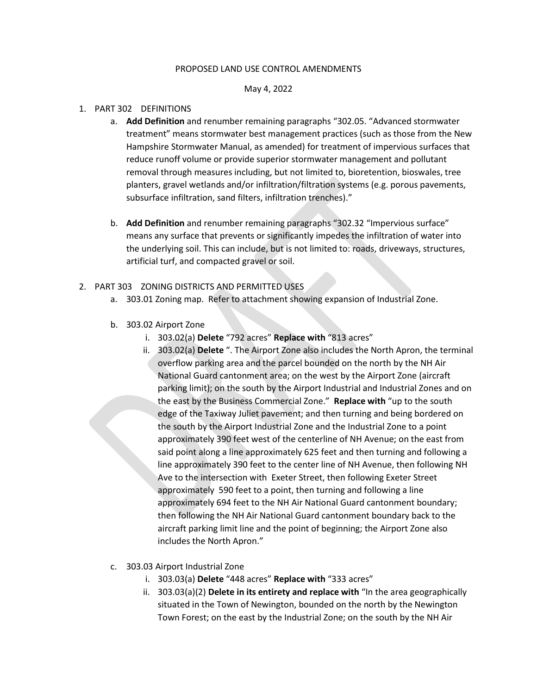#### PROPOSED LAND USE CONTROL AMENDMENTS

#### May 4, 2022

### 1. PART 302 DEFINITIONS

- a. **Add Definition** and renumber remaining paragraphs "302.05. "Advanced stormwater treatment" means stormwater best management practices (such as those from the New Hampshire Stormwater Manual, as amended) for treatment of impervious surfaces that reduce runoff volume or provide superior stormwater management and pollutant removal through measures including, but not limited to, bioretention, bioswales, tree planters, gravel wetlands and/or infiltration/filtration systems (e.g. porous pavements, subsurface infiltration, sand filters, infiltration trenches)."
- b. **Add Definition** and renumber remaining paragraphs "302.32 "Impervious surface" means any surface that prevents or significantly impedes the infiltration of water into the underlying soil. This can include, but is not limited to: roads, driveways, structures, artificial turf, and compacted gravel or soil.

### 2. PART 303 ZONING DISTRICTS AND PERMITTED USES

- a. 303.01 Zoning map. Refer to attachment showing expansion of Industrial Zone.
- b. 303.02 Airport Zone
	- i. 303.02(a) **Delete** "792 acres" **Replace with** "813 acres"
	- ii. 303.02(a) **Delete** ". The Airport Zone also includes the North Apron, the terminal overflow parking area and the parcel bounded on the north by the NH Air National Guard cantonment area; on the west by the Airport Zone (aircraft parking limit); on the south by the Airport Industrial and Industrial Zones and on the east by the Business Commercial Zone." **Replace with** "up to the south edge of the Taxiway Juliet pavement; and then turning and being bordered on the south by the Airport Industrial Zone and the Industrial Zone to a point approximately 390 feet west of the centerline of NH Avenue; on the east from said point along a line approximately 625 feet and then turning and following a line approximately 390 feet to the center line of NH Avenue, then following NH Ave to the intersection with Exeter Street, then following Exeter Street approximately 590 feet to a point, then turning and following a line approximately 694 feet to the NH Air National Guard cantonment boundary; then following the NH Air National Guard cantonment boundary back to the aircraft parking limit line and the point of beginning; the Airport Zone also includes the North Apron."
- c. 303.03 Airport Industrial Zone
	- i. 303.03(a) **Delete** "448 acres" **Replace with** "333 acres"
	- ii. 303.03(a)(2) **Delete in its entirety and replace with** "In the area geographically situated in the Town of Newington, bounded on the north by the Newington Town Forest; on the east by the Industrial Zone; on the south by the NH Air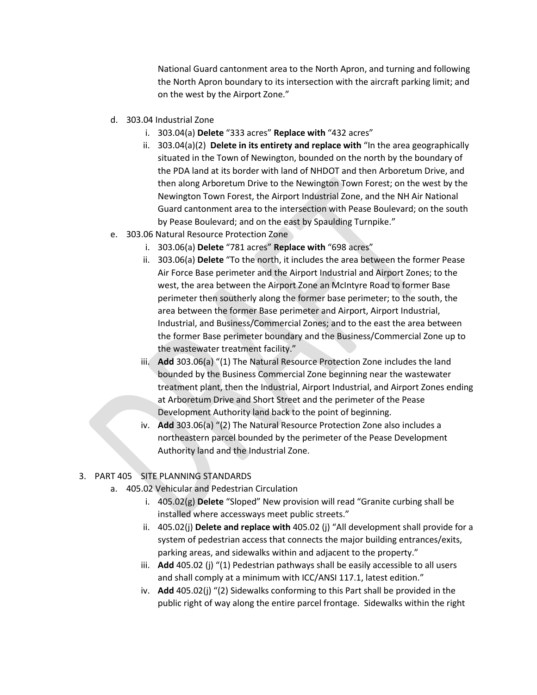National Guard cantonment area to the North Apron, and turning and following the North Apron boundary to its intersection with the aircraft parking limit; and on the west by the Airport Zone."

- d. 303.04 Industrial Zone
	- i. 303.04(a) **Delete** "333 acres" **Replace with** "432 acres"
	- ii. 303.04(a)(2) **Delete in its entirety and replace with** "In the area geographically situated in the Town of Newington, bounded on the north by the boundary of the PDA land at its border with land of NHDOT and then Arboretum Drive, and then along Arboretum Drive to the Newington Town Forest; on the west by the Newington Town Forest, the Airport Industrial Zone, and the NH Air National Guard cantonment area to the intersection with Pease Boulevard; on the south by Pease Boulevard; and on the east by Spaulding Turnpike."
- e. 303.06 Natural Resource Protection Zone
	- i. 303.06(a) **Delete** "781 acres" **Replace with** "698 acres"
	- ii. 303.06(a) **Delete** "To the north, it includes the area between the former Pease Air Force Base perimeter and the Airport Industrial and Airport Zones; to the west, the area between the Airport Zone an McIntyre Road to former Base perimeter then southerly along the former base perimeter; to the south, the area between the former Base perimeter and Airport, Airport Industrial, Industrial, and Business/Commercial Zones; and to the east the area between the former Base perimeter boundary and the Business/Commercial Zone up to the wastewater treatment facility."
	- iii. **Add** 303.06(a) "(1) The Natural Resource Protection Zone includes the land bounded by the Business Commercial Zone beginning near the wastewater treatment plant, then the Industrial, Airport Industrial, and Airport Zones ending at Arboretum Drive and Short Street and the perimeter of the Pease Development Authority land back to the point of beginning.
	- iv. **Add** 303.06(a) "(2) The Natural Resource Protection Zone also includes a northeastern parcel bounded by the perimeter of the Pease Development Authority land and the Industrial Zone.

# 3. PART 405 SITE PLANNING STANDARDS

- a. 405.02 Vehicular and Pedestrian Circulation
	- i. 405.02(g) **Delete** "Sloped" New provision will read "Granite curbing shall be installed where accessways meet public streets."
	- ii. 405.02(j) **Delete and replace with** 405.02 (j) "All development shall provide for a system of pedestrian access that connects the major building entrances/exits, parking areas, and sidewalks within and adjacent to the property."
	- iii. **Add** 405.02 (j) "(1) Pedestrian pathways shall be easily accessible to all users and shall comply at a minimum with ICC/ANSI 117.1, latest edition."
	- iv. **Add** 405.02(j) "(2) Sidewalks conforming to this Part shall be provided in the public right of way along the entire parcel frontage. Sidewalks within the right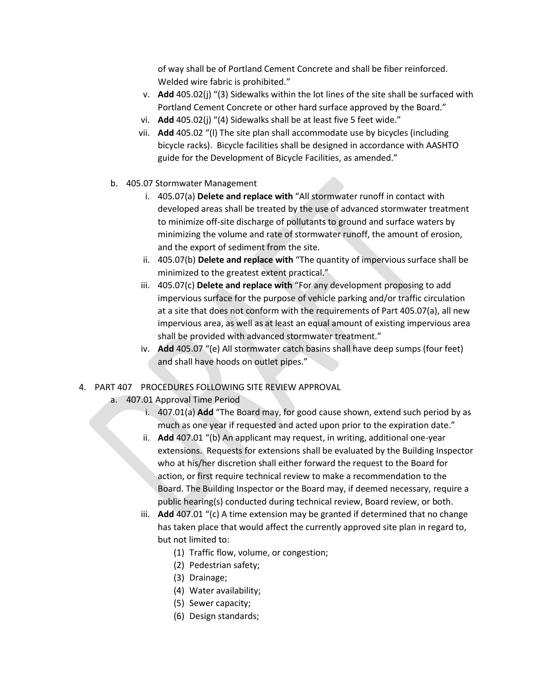of way shall be of Portland Cement Concrete and shall be fiber reinforced. Welded wire fabric is prohibited."

- v. **Add** 405.02(j) "(3) Sidewalks within the lot lines of the site shall be surfaced with Portland Cement Concrete or other hard surface approved by the Board."
- vi. **Add** 405.02(j) "(4) Sidewalks shall be at least five 5 feet wide."
- vii. **Add** 405.02 "(l) The site plan shall accommodate use by bicycles (including bicycle racks). Bicycle facilities shall be designed in accordance with AASHTO guide for the Development of Bicycle Facilities, as amended."
- b. 405.07 Stormwater Management
	- i. 405.07(a) **Delete and replace with** "All stormwater runoff in contact with developed areas shall be treated by the use of advanced stormwater treatment to minimize off-site discharge of pollutants to ground and surface waters by minimizing the volume and rate of stormwater runoff, the amount of erosion, and the export of sediment from the site.
	- ii. 405.07(b) **Delete and replace with** "The quantity of impervious surface shall be minimized to the greatest extent practical."
	- iii. 405.07(c) **Delete and replace with** "For any development proposing to add impervious surface for the purpose of vehicle parking and/or traffic circulation at a site that does not conform with the requirements of Part 405.07(a), all new impervious area, as well as at least an equal amount of existing impervious area shall be provided with advanced stormwater treatment."
	- iv. **Add** 405.07 "(e) All stormwater catch basins shall have deep sumps (four feet) and shall have hoods on outlet pipes."
- 4. PART 407 PROCEDURES FOLLOWING SITE REVIEW APPROVAL
	- a. 407.01 Approval Time Period
		- i. 407.01(a) **Add** "The Board may, for good cause shown, extend such period by as much as one year if requested and acted upon prior to the expiration date."
		- ii. **Add** 407.01 "(b) An applicant may request, in writing, additional one-year extensions. Requests for extensions shall be evaluated by the Building Inspector who at his/her discretion shall either forward the request to the Board for action, or first require technical review to make a recommendation to the Board. The Building Inspector or the Board may, if deemed necessary, require a public hearing(s) conducted during technical review, Board review, or both.
		- iii. **Add** 407.01 "(c) A time extension may be granted if determined that no change has taken place that would affect the currently approved site plan in regard to, but not limited to:
			- (1) Traffic flow, volume, or congestion;
			- (2) Pedestrian safety;
			- (3) Drainage;
			- (4) Water availability;
			- (5) Sewer capacity;
			- (6) Design standards;